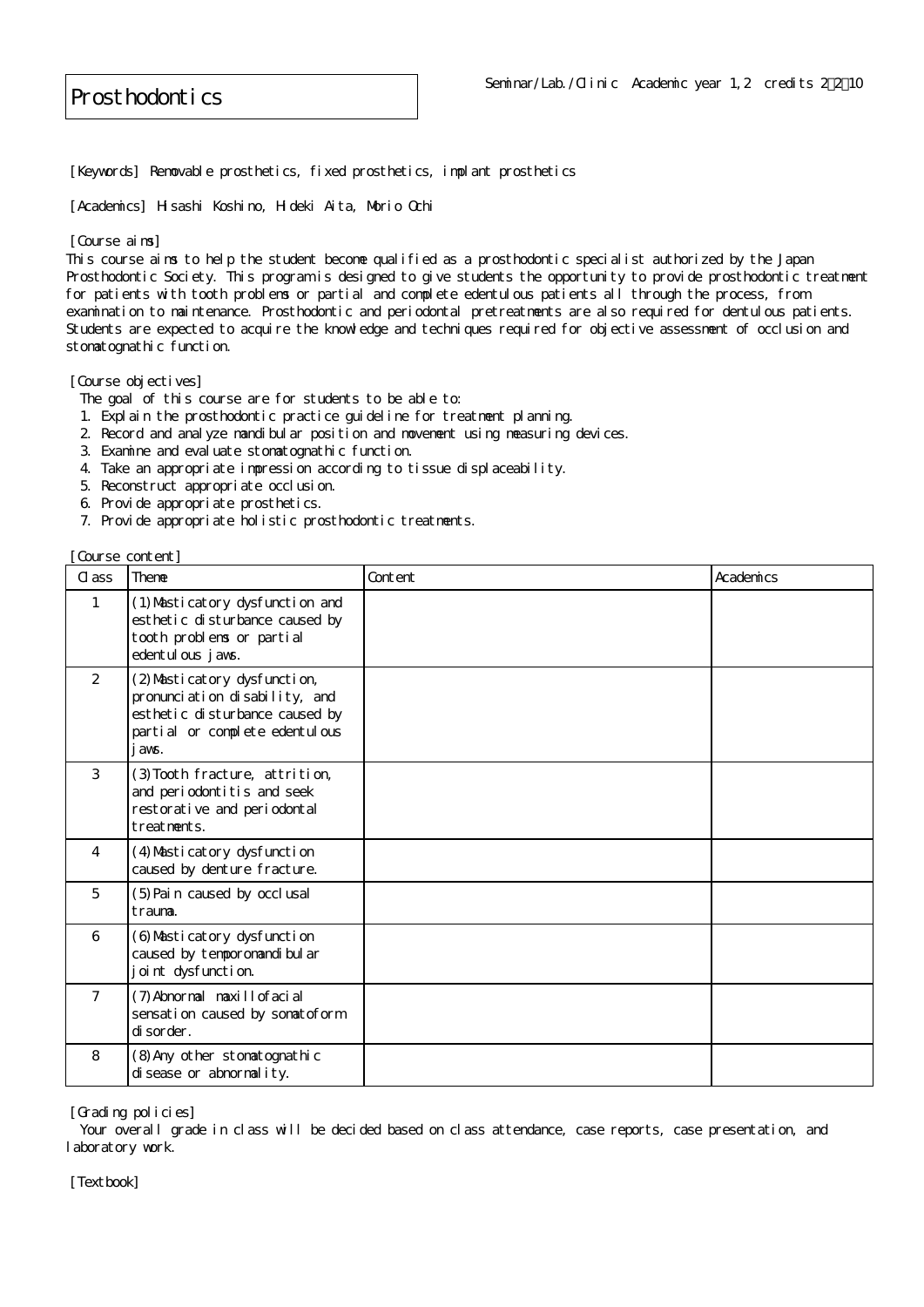[Keywords] Removable prosthetics, fixed prosthetics, implant prosthetics

[Academics] Hisashi Koshino, Hideki Aita, Morio Ochi

## [Course aims]

This course aims to help the student become qualified as a prosthodontic specialist authorized by the Japan Prosthodontic Society. This program is designed to give students the opportunity to provide prosthodontic treatment for patients with tooth problems or partial and complete edentulous patients all through the process, from examination to maintenance. Prosthodontic and periodontal pretreatments are also required for dentulous patients. Students are expected to acquire the knowledge and techniques required for objective assessment of occlusion and stomatognathic function.

[Course objectives]

- The goal of this course are for students to be able to:
- 1. Explain the prosthodontic practice guideline for treatment planning.
- 2. Record and analyze mandibular position and movement using measuring devices.
- 3. Examine and evaluate stomatognathic function.
- 4. Take an appropriate impression according to tissue displaceability.
- 5. Reconstruct appropriate occlusion.
- 6. Provide appropriate prosthetics.
- 7. Provide appropriate holistic prosthodontic treatments.

[Course content]

| Cl ass         | Theme                                                                                                                                     | Content | Academics |
|----------------|-------------------------------------------------------------------------------------------------------------------------------------------|---------|-----------|
| 1              | (1) Masticatory dysfunction and<br>esthetic disturbance caused by<br>tooth problems or partial<br>edentul ous j avs.                      |         |           |
| 2              | (2) Masticatory dysfunction,<br>pronunciation disability, and<br>esthetic disturbance caused by<br>partial or complete edentulous<br>avs. |         |           |
| 3              | (3) Tooth fracture, attrition,<br>and periodontitis and seek<br>restorative and periodontal<br>treatments.                                |         |           |
| $\overline{4}$ | (4) Masticatory dysfunction<br>caused by denture fracture.                                                                                |         |           |
| 5              | (5) Pain caused by occlusal<br>trauma.                                                                                                    |         |           |
| 6              | (6) Masticatory dysfunction<br>caused by tempor omandi bul ar<br>joint dysfunction.                                                       |         |           |
| $\overline{7}$ | (7) Abnormal maxillofacial<br>sensati on caused by somatoform<br>di sor der.                                                              |         |           |
| 8              | (8) Any other stomatognathic<br>di sease or abnormal i ty.                                                                                |         |           |

[Grading policies]

Your overall grade in class will be decided based on class attendance, case reports, case presentation, and laboratory work.

[Textbook]